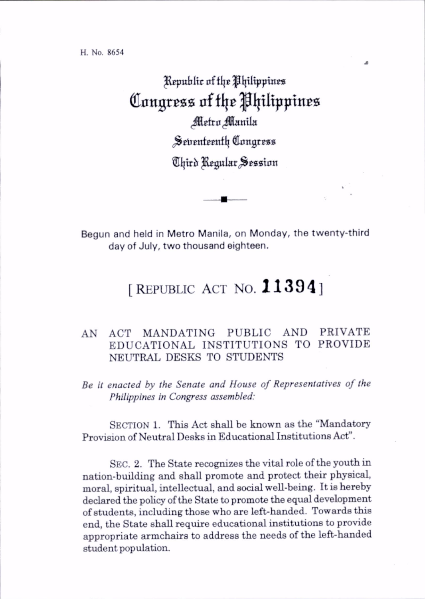^REpuhltc affIjc|IIpItpptn0S Congress of the Philippines Metro Manila Setrenteenth Congress Third Regular Session

Begun and held in Metro Manila, on Monday, the twenty-third day of July, two thousand eighteen.

## [REPUBLIC ACT NO.  $11394$ ]

## AN ACT MANDATING PUBLIC AND PRIVATE EDUCATIONAL INSTITUTIONS TO PROVIDE NEUTRAL DESKS TO STUDENTS

Be it enacted by the Senate and House of Representatives of the Philippines in Congress assembled:

SECTION 1. This Act shall be known as the "Mandatory" Provision of Neutral Desks in Educational Institutions Act".

Sec. 2. The State recognizes the vital role of the youth in nation-building and shall promote and protect their physical, moral, spiritual, intellectual, and social well-being. It is hereby declared the policy of the State to promote the equal development of students, including those who are left-handed. Towards this end, the State shall require educational institutions to provide appropriate armchairs to address the needs of the left-handed student population.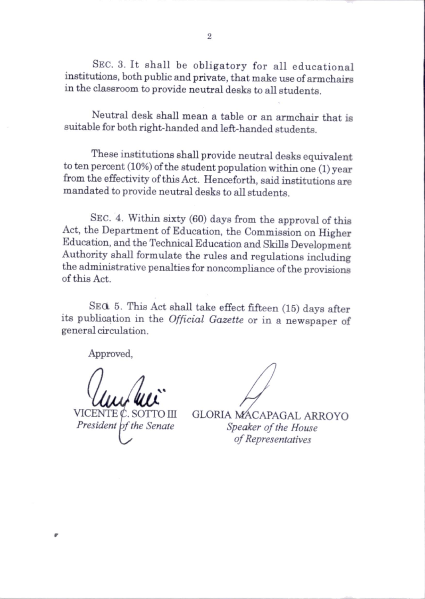Sec. 3. It shall be obligatory for all educational institutions, both public and private, that make use of armchairs in the classroom to provide neutral desks to all students.

Neutral desk shall mean a table or an armchair that is suitable for both right-handed and left-handed students.

These institutions shall provide neutral desks equivalent to ten percent (10%) of the student population within one (1) year from the effectivity of this Act. Henceforth, said institutions are mandated to provide neutral desks to all students.

Sec. 4. Within sixty (60) days from the approval of this Act, the Department of Education, the Commission on Higher Education, and the Technical Education and Skills Development Authority shall formulate the rules and regulations including the administrative penalties for noncomphance of the provisions of this Act.

SEQ 5. This Act shall take effect fifteen (15) days after its publication in the Official Gazette or in a newspaper of general circulation.

Approved,

VICENTE C. SOTTO III

President bf the Senate

GLORIA MACAPAGAL ARROYO Speaker of the House of Representatives